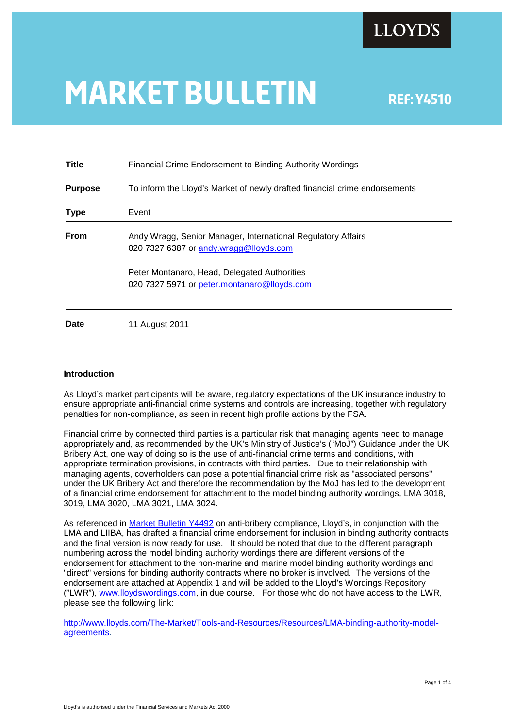# **MARKET BULLETIN** REF: Y4510

| <b>Title</b>   | Financial Crime Endorsement to Binding Authority Wordings                                              |
|----------------|--------------------------------------------------------------------------------------------------------|
| <b>Purpose</b> | To inform the Lloyd's Market of newly drafted financial crime endorsements                             |
| <b>Type</b>    | Event                                                                                                  |
| <b>From</b>    | Andy Wragg, Senior Manager, International Regulatory Affairs<br>020 7327 6387 or andy wragg@lloyds.com |
|                | Peter Montanaro, Head, Delegated Authorities<br>020 7327 5971 or peter.montanaro@lloyds.com            |
| Date           | 11 August 2011                                                                                         |

### **Introduction**

As Lloyd's market participants will be aware, regulatory expectations of the UK insurance industry to ensure appropriate anti-financial crime systems and controls are increasing, together with regulatory penalties for non-compliance, as seen in recent high profile actions by the FSA.

Financial crime by connected third parties is a particular risk that managing agents need to manage appropriately and, as recommended by the UK's Ministry of Justice's ("MoJ") Guidance under the UK Bribery Act, one way of doing so is the use of anti-financial crime terms and conditions, with appropriate termination provisions, in contracts with third parties. Due to their relationship with managing agents, coverholders can pose a potential financial crime risk as "associated persons" under the UK Bribery Act and therefore the recommendation by the MoJ has led to the development of a financial crime endorsement for attachment to the model binding authority wordings, LMA 3018, 3019, LMA 3020, LMA 3021, LMA 3024.

As referenced in [Market Bulletin Y4492](http://www.lloyds.com/~/media/Files/The%20Market/Communications/Market%20Bulletins/2011/05/Y4492.pdf#search=) on anti-bribery compliance, Lloyd's, in conjunction with the LMA and LIIBA, has drafted a financial crime endorsement for inclusion in binding authority contracts and the final version is now ready for use. It should be noted that due to the different paragraph numbering across the model binding authority wordings there are different versions of the endorsement for attachment to the non-marine and marine model binding authority wordings and "direct" versions for binding authority contracts where no broker is involved. The versions of the endorsement are attached at Appendix 1 and will be added to the Lloyd's Wordings Repository ("LWR"), [www.lloydswordings.com,](http://www.lloydswordings.com/) in due course. For those who do not have access to the LWR, please see the following link:

[http://www.lloyds.com/The-Market/Tools-and-Resources/Resources/LMA-binding-authority-model](http://www.lloyds.com/The-Market/Tools-and-Resources/Resources/LMA-binding-authority-model-agreements)[agreements.](http://www.lloyds.com/The-Market/Tools-and-Resources/Resources/LMA-binding-authority-model-agreements)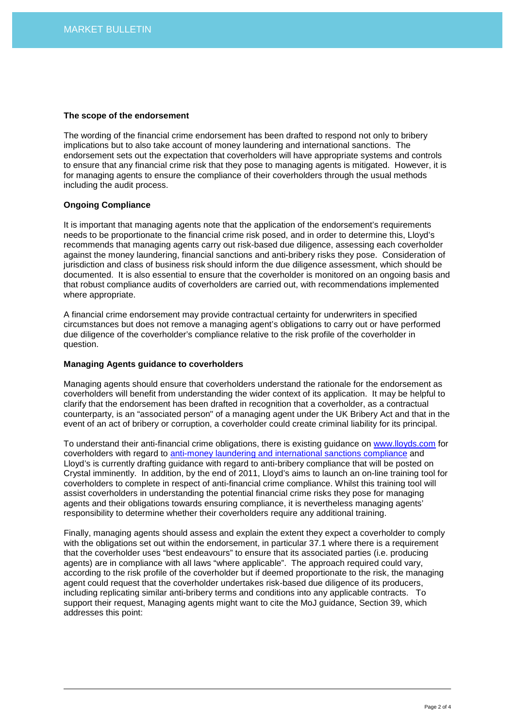### **The scope of the endorsement**

The wording of the financial crime endorsement has been drafted to respond not only to bribery implications but to also take account of money laundering and international sanctions. The endorsement sets out the expectation that coverholders will have appropriate systems and controls to ensure that any financial crime risk that they pose to managing agents is mitigated. However, it is for managing agents to ensure the compliance of their coverholders through the usual methods including the audit process.

#### **Ongoing Compliance**

It is important that managing agents note that the application of the endorsement's requirements needs to be proportionate to the financial crime risk posed, and in order to determine this, Lloyd's recommends that managing agents carry out risk-based due diligence, assessing each coverholder against the money laundering, financial sanctions and anti-bribery risks they pose. Consideration of jurisdiction and class of business risk should inform the due diligence assessment, which should be documented. It is also essential to ensure that the coverholder is monitored on an ongoing basis and that robust compliance audits of coverholders are carried out, with recommendations implemented where appropriate.

A financial crime endorsement may provide contractual certainty for underwriters in specified circumstances but does not remove a managing agent's obligations to carry out or have performed due diligence of the coverholder's compliance relative to the risk profile of the coverholder in question.

#### **Managing Agents guidance to coverholders**

Managing agents should ensure that coverholders understand the rationale for the endorsement as coverholders will benefit from understanding the wider context of its application. It may be helpful to clarify that the endorsement has been drafted in recognition that a coverholder, as a contractual counterparty, is an "associated person" of a managing agent under the UK Bribery Act and that in the event of an act of bribery or corruption, a coverholder could create criminal liability for its principal.

To understand their anti-financial crime obligations, there is existing guidance on [www.lloyds.com](http://www.lloyds.com/) for coverholders with regard to [anti-money laundering and international sanctions compliance](http://www.lloyds.com/The-Market/Communications/Regulatory-Communications-Homepage/Regulatory-Communications/Regulatory-news-articles/Anti_Money_Laundering_and_International_Sanctions_guidance_for_Coverholders) and Lloyd's is currently drafting guidance with regard to anti-bribery compliance that will be posted on Crystal imminently. In addition, by the end of 2011, Lloyd's aims to launch an on-line training tool for coverholders to complete in respect of anti-financial crime compliance. Whilst this training tool will assist coverholders in understanding the potential financial crime risks they pose for managing agents and their obligations towards ensuring compliance, it is nevertheless managing agents' responsibility to determine whether their coverholders require any additional training.

Finally, managing agents should assess and explain the extent they expect a coverholder to comply with the obligations set out within the endorsement, in particular 37.1 where there is a requirement that the coverholder uses "best endeavours" to ensure that its associated parties (i.e. producing agents) are in compliance with all laws "where applicable". The approach required could vary, according to the risk profile of the coverholder but if deemed proportionate to the risk, the managing agent could request that the coverholder undertakes risk-based due diligence of its producers, including replicating similar anti-bribery terms and conditions into any applicable contracts. To support their request, Managing agents might want to cite the MoJ guidance, Section 39, which addresses this point: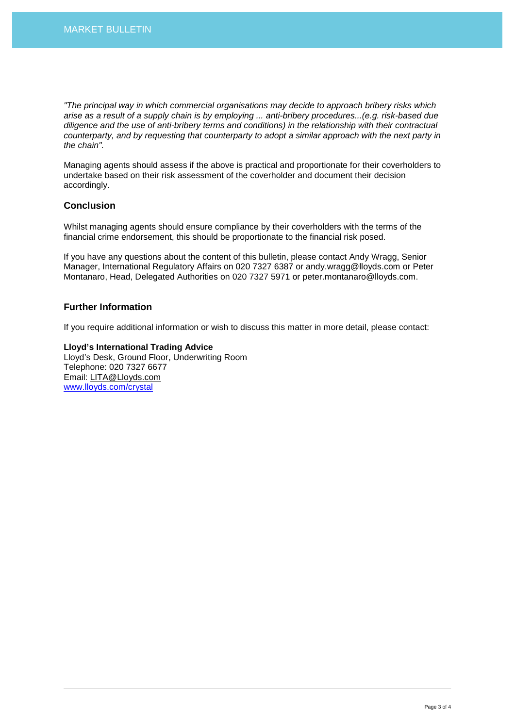*"The principal way in which commercial organisations may decide to approach bribery risks which arise as a result of a supply chain is by employing ... anti-bribery procedures...(e.g. risk-based due diligence and the use of anti-bribery terms and conditions) in the relationship with their contractual counterparty, and by requesting that counterparty to adopt a similar approach with the next party in the chain".*

Managing agents should assess if the above is practical and proportionate for their coverholders to undertake based on their risk assessment of the coverholder and document their decision accordingly.

# **Conclusion**

Whilst managing agents should ensure compliance by their coverholders with the terms of the financial crime endorsement, this should be proportionate to the financial risk posed.

If you have any questions about the content of this bulletin, please contact Andy Wragg, Senior Manager, International Regulatory Affairs on 020 7327 6387 or andy.wragg@lloyds.com or Peter Montanaro, Head, Delegated Authorities on 020 7327 5971 or peter.montanaro@lloyds.com.

# **Further Information**

If you require additional information or wish to discuss this matter in more detail, please contact:

**Lloyd's International Trading Advice**  Lloyd's Desk, Ground Floor, Underwriting Room Telephone: 020 7327 6677 Email: LITA@Lloyds.com www.lloyds.com/crystal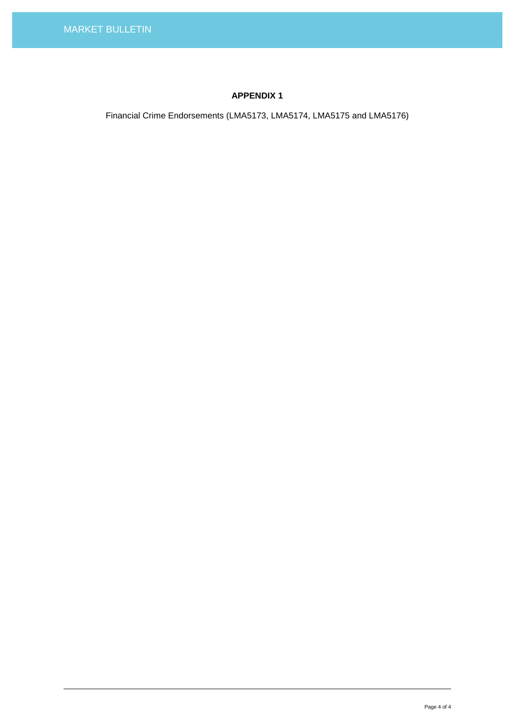# **APPENDIX 1**

Financial Crime Endorsements (LMA5173, LMA5174, LMA5175 and LMA5176)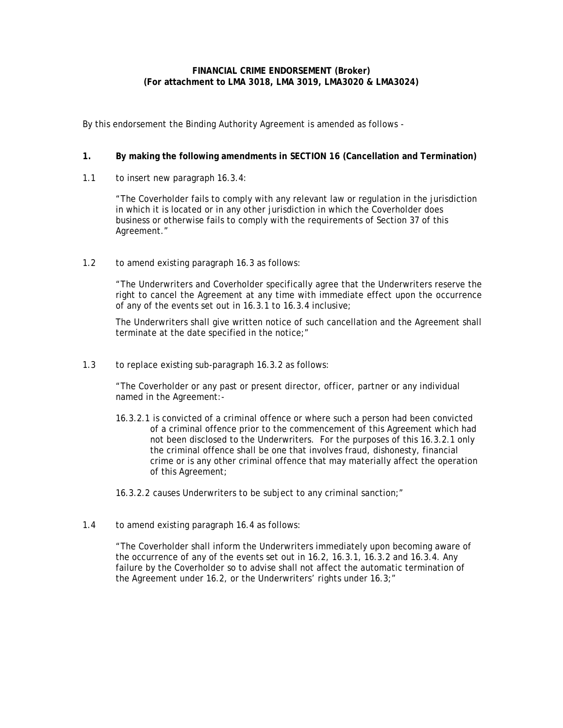#### **FINANCIAL CRIME ENDORSEMENT (Broker) (For attachment to LMA 3018, LMA 3019, LMA3020 & LMA3024)**

By this endorsement the Binding Authority Agreement is amended as follows -

# **1. By making the following amendments in SECTION 16 (Cancellation and Termination)**

1.1 to insert new paragraph 16.3.4:

"The Coverholder fails to comply with any relevant law or regulation in the jurisdiction in which it is located or in any other jurisdiction in which the Coverholder does business or otherwise fails to comply with the requirements of Section 37 of this Agreement."

1.2 to amend existing paragraph 16.3 as follows:

"The Underwriters and Coverholder specifically agree that the Underwriters reserve the right to cancel the Agreement at any time with immediate effect upon the occurrence of any of the events set out in 16.3.1 to 16.3.4 inclusive;

The Underwriters shall give written notice of such cancellation and the Agreement shall terminate at the date specified in the notice;"

1.3 to replace existing sub-paragraph 16.3.2 as follows:

"The Coverholder or any past or present director, officer, partner or any individual named in the Agreement:-

16.3.2.1 is convicted of a criminal offence or where such a person had been convicted of a criminal offence prior to the commencement of this Agreement which had not been disclosed to the Underwriters. For the purposes of this 16.3.2.1 only the criminal offence shall be one that involves fraud, dishonesty, financial crime or is any other criminal offence that may materially affect the operation of this Agreement;

16.3.2.2 causes Underwriters to be subject to any criminal sanction;"

1.4 to amend existing paragraph 16.4 as follows:

"The Coverholder shall inform the Underwriters immediately upon becoming aware of the occurrence of any of the events set out in 16.2, 16.3.1, 16.3.2 and 16.3.4. Any failure by the Coverholder so to advise shall not affect the automatic termination of the Agreement under 16.2, or the Underwriters' rights under 16.3;"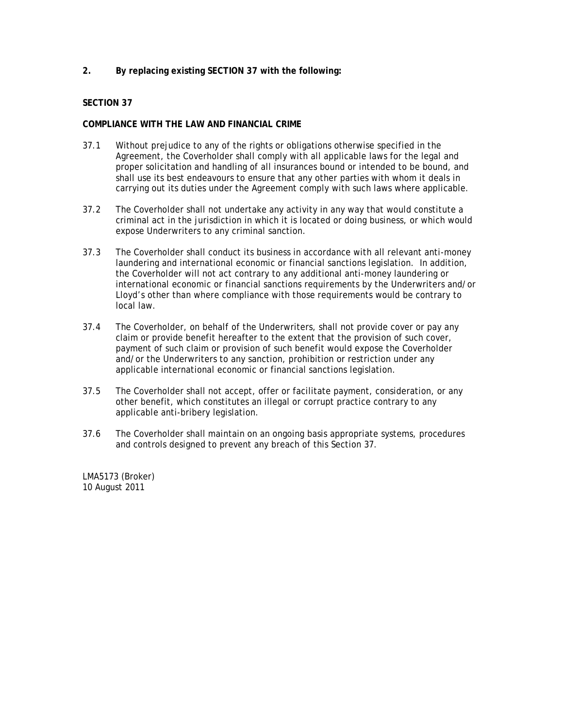# **2. By replacing existing SECTION 37 with the following:**

### **SECTION 37**

#### **COMPLIANCE WITH THE LAW AND FINANCIAL CRIME**

- 37.1 Without prejudice to any of the rights or obligations otherwise specified in the Agreement, the Coverholder shall comply with all applicable laws for the legal and proper solicitation and handling of all insurances bound or intended to be bound, and shall use its best endeavours to ensure that any other parties with whom it deals in carrying out its duties under the Agreement comply with such laws where applicable.
- 37.2 The Coverholder shall not undertake any activity in any way that would constitute a criminal act in the jurisdiction in which it is located or doing business, or which would expose Underwriters to any criminal sanction.
- 37.3 The Coverholder shall conduct its business in accordance with all relevant anti-money laundering and international economic or financial sanctions legislation. In addition, the Coverholder will not act contrary to any additional anti-money laundering or international economic or financial sanctions requirements by the Underwriters and/or Lloyd's other than where compliance with those requirements would be contrary to local law.
- 37.4 The Coverholder, on behalf of the Underwriters, shall not provide cover or pay any claim or provide benefit hereafter to the extent that the provision of such cover, payment of such claim or provision of such benefit would expose the Coverholder and/or the Underwriters to any sanction, prohibition or restriction under any applicable international economic or financial sanctions legislation.
- 37.5 The Coverholder shall not accept, offer or facilitate payment, consideration, or any other benefit, which constitutes an illegal or corrupt practice contrary to any applicable anti-bribery legislation.
- 37.6 The Coverholder shall maintain on an ongoing basis appropriate systems, procedures and controls designed to prevent any breach of this Section 37.

LMA5173 (Broker) 10 August 2011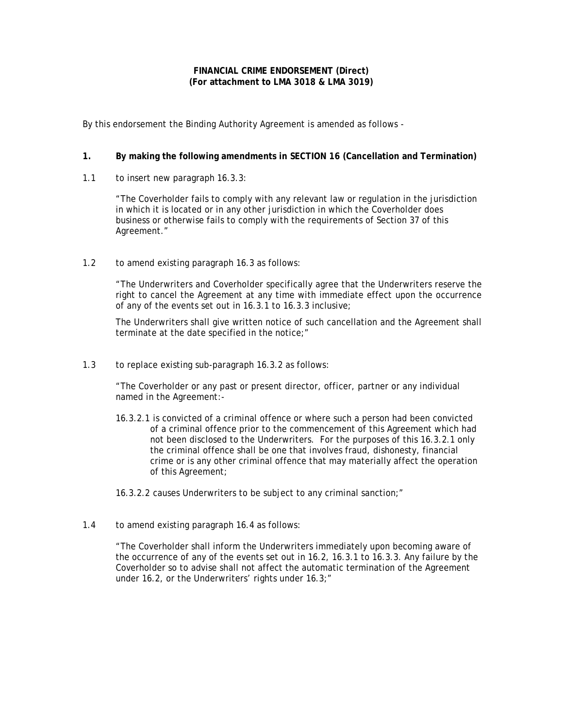#### **FINANCIAL CRIME ENDORSEMENT (Direct) (For attachment to LMA 3018 & LMA 3019)**

By this endorsement the Binding Authority Agreement is amended as follows -

# **1. By making the following amendments in SECTION 16 (Cancellation and Termination)**

1.1 to insert new paragraph 16.3.3:

"The Coverholder fails to comply with any relevant law or regulation in the jurisdiction in which it is located or in any other jurisdiction in which the Coverholder does business or otherwise fails to comply with the requirements of Section 37 of this Agreement."

1.2 to amend existing paragraph 16.3 as follows:

"The Underwriters and Coverholder specifically agree that the Underwriters reserve the right to cancel the Agreement at any time with immediate effect upon the occurrence of any of the events set out in 16.3.1 to 16.3.3 inclusive;

The Underwriters shall give written notice of such cancellation and the Agreement shall terminate at the date specified in the notice;"

1.3 to replace existing sub-paragraph 16.3.2 as follows:

"The Coverholder or any past or present director, officer, partner or any individual named in the Agreement:-

16.3.2.1 is convicted of a criminal offence or where such a person had been convicted of a criminal offence prior to the commencement of this Agreement which had not been disclosed to the Underwriters. For the purposes of this 16.3.2.1 only the criminal offence shall be one that involves fraud, dishonesty, financial crime or is any other criminal offence that may materially affect the operation of this Agreement;

16.3.2.2 causes Underwriters to be subject to any criminal sanction;"

1.4 to amend existing paragraph 16.4 as follows:

"The Coverholder shall inform the Underwriters immediately upon becoming aware of the occurrence of any of the events set out in 16.2, 16.3.1 to 16.3.3. Any failure by the Coverholder so to advise shall not affect the automatic termination of the Agreement under 16.2, or the Underwriters' rights under 16.3;"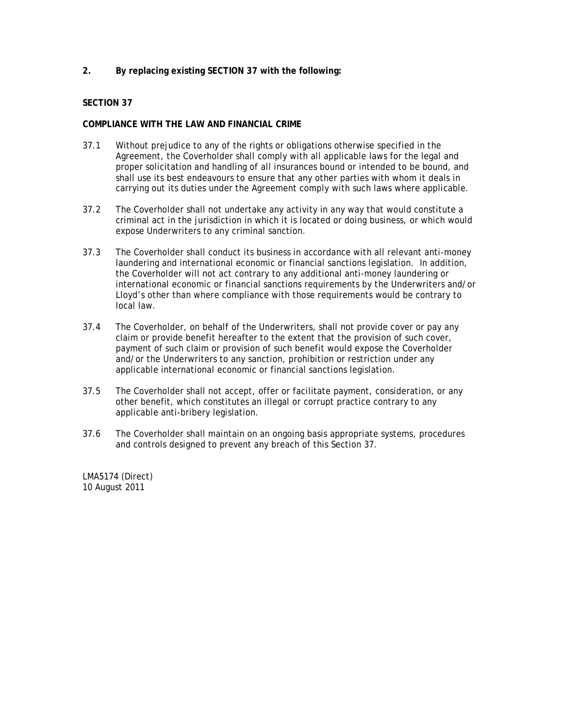# **2. By replacing existing SECTION 37 with the following:**

#### **SECTION 37**

#### **COMPLIANCE WITH THE LAW AND FINANCIAL CRIME**

- 37.1 Without prejudice to any of the rights or obligations otherwise specified in the Agreement, the Coverholder shall comply with all applicable laws for the legal and proper solicitation and handling of all insurances bound or intended to be bound, and shall use its best endeavours to ensure that any other parties with whom it deals in carrying out its duties under the Agreement comply with such laws where applicable.
- 37.2 The Coverholder shall not undertake any activity in any way that would constitute a criminal act in the jurisdiction in which it is located or doing business, or which would expose Underwriters to any criminal sanction.
- 37.3 The Coverholder shall conduct its business in accordance with all relevant anti-money laundering and international economic or financial sanctions legislation. In addition, the Coverholder will not act contrary to any additional anti-money laundering or international economic or financial sanctions requirements by the Underwriters and/or Lloyd's other than where compliance with those requirements would be contrary to local law.
- 37.4 The Coverholder, on behalf of the Underwriters, shall not provide cover or pay any claim or provide benefit hereafter to the extent that the provision of such cover, payment of such claim or provision of such benefit would expose the Coverholder and/or the Underwriters to any sanction, prohibition or restriction under any applicable international economic or financial sanctions legislation.
- 37.5 The Coverholder shall not accept, offer or facilitate payment, consideration, or any other benefit, which constitutes an illegal or corrupt practice contrary to any applicable anti-bribery legislation.
- 37.6 The Coverholder shall maintain on an ongoing basis appropriate systems, procedures and controls designed to prevent any breach of this Section 37.

LMA5174 (Direct) 10 August 2011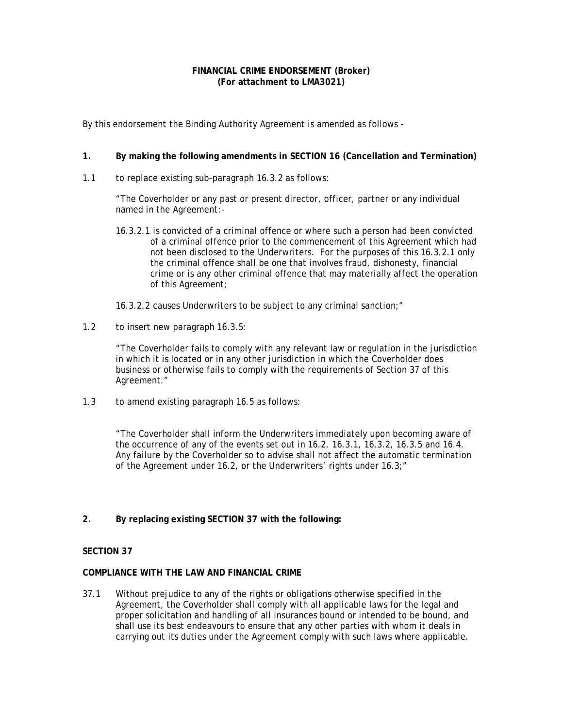#### **FINANCIAL CRIME ENDORSEMENT (Broker) (For attachment to LMA3021)**

By this endorsement the Binding Authority Agreement is amended as follows -

# **1. By making the following amendments in SECTION 16 (Cancellation and Termination)**

1.1 to replace existing sub-paragraph 16.3.2 as follows:

"The Coverholder or any past or present director, officer, partner or any individual named in the Agreement:-

- 16.3.2.1 is convicted of a criminal offence or where such a person had been convicted of a criminal offence prior to the commencement of this Agreement which had not been disclosed to the Underwriters. For the purposes of this 16.3.2.1 only the criminal offence shall be one that involves fraud, dishonesty, financial crime or is any other criminal offence that may materially affect the operation of this Agreement;
- 16.3.2.2 causes Underwriters to be subject to any criminal sanction;"
- 1.2 to insert new paragraph 16.3.5:

"The Coverholder fails to comply with any relevant law or regulation in the jurisdiction in which it is located or in any other jurisdiction in which the Coverholder does business or otherwise fails to comply with the requirements of Section 37 of this Agreement."

1.3 to amend existing paragraph 16.5 as follows:

"The Coverholder shall inform the Underwriters immediately upon becoming aware of the occurrence of any of the events set out in 16.2, 16.3.1, 16.3.2, 16.3.5 and 16.4. Any failure by the Coverholder so to advise shall not affect the automatic termination of the Agreement under 16.2, or the Underwriters' rights under 16.3;"

**2. By replacing existing SECTION 37 with the following:**

# **SECTION 37**

#### **COMPLIANCE WITH THE LAW AND FINANCIAL CRIME**

37.1 Without prejudice to any of the rights or obligations otherwise specified in the Agreement, the Coverholder shall comply with all applicable laws for the legal and proper solicitation and handling of all insurances bound or intended to be bound, and shall use its best endeavours to ensure that any other parties with whom it deals in carrying out its duties under the Agreement comply with such laws where applicable.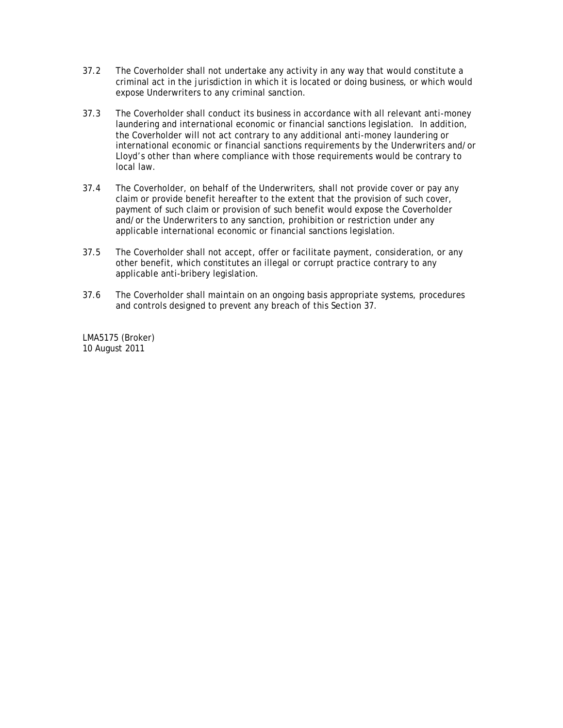- 37.2 The Coverholder shall not undertake any activity in any way that would constitute a criminal act in the jurisdiction in which it is located or doing business, or which would expose Underwriters to any criminal sanction.
- 37.3 The Coverholder shall conduct its business in accordance with all relevant anti-money laundering and international economic or financial sanctions legislation. In addition, the Coverholder will not act contrary to any additional anti-money laundering or international economic or financial sanctions requirements by the Underwriters and/or Lloyd's other than where compliance with those requirements would be contrary to local law.
- 37.4 The Coverholder, on behalf of the Underwriters, shall not provide cover or pay any claim or provide benefit hereafter to the extent that the provision of such cover, payment of such claim or provision of such benefit would expose the Coverholder and/or the Underwriters to any sanction, prohibition or restriction under any applicable international economic or financial sanctions legislation.
- 37.5 The Coverholder shall not accept, offer or facilitate payment, consideration, or any other benefit, which constitutes an illegal or corrupt practice contrary to any applicable anti-bribery legislation.
- 37.6 The Coverholder shall maintain on an ongoing basis appropriate systems, procedures and controls designed to prevent any breach of this Section 37.

LMA5175 (Broker) 10 August 2011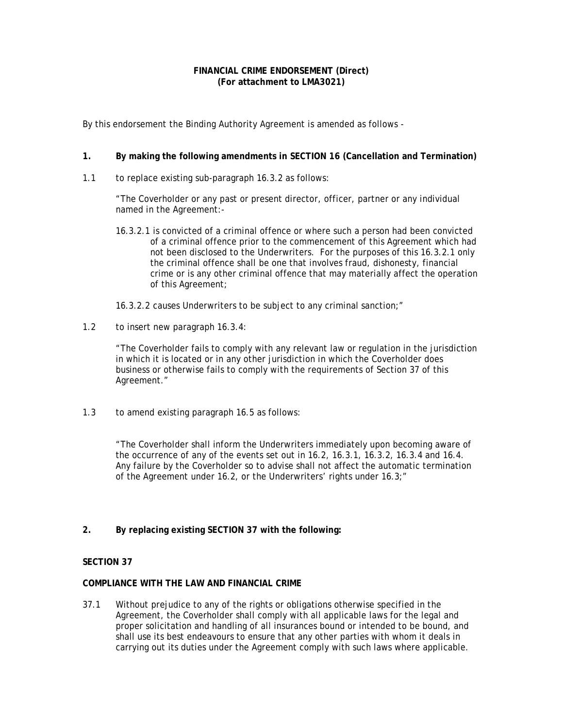#### **FINANCIAL CRIME ENDORSEMENT (Direct) (For attachment to LMA3021)**

By this endorsement the Binding Authority Agreement is amended as follows -

# **1. By making the following amendments in SECTION 16 (Cancellation and Termination)**

1.1 to replace existing sub-paragraph 16.3.2 as follows:

"The Coverholder or any past or present director, officer, partner or any individual named in the Agreement:-

- 16.3.2.1 is convicted of a criminal offence or where such a person had been convicted of a criminal offence prior to the commencement of this Agreement which had not been disclosed to the Underwriters. For the purposes of this 16.3.2.1 only the criminal offence shall be one that involves fraud, dishonesty, financial crime or is any other criminal offence that may materially affect the operation of this Agreement;
- 16.3.2.2 causes Underwriters to be subject to any criminal sanction;"
- 1.2 to insert new paragraph 16.3.4:

"The Coverholder fails to comply with any relevant law or regulation in the jurisdiction in which it is located or in any other jurisdiction in which the Coverholder does business or otherwise fails to comply with the requirements of Section 37 of this Agreement."

1.3 to amend existing paragraph 16.5 as follows:

"The Coverholder shall inform the Underwriters immediately upon becoming aware of the occurrence of any of the events set out in 16.2, 16.3.1, 16.3.2, 16.3.4 and 16.4. Any failure by the Coverholder so to advise shall not affect the automatic termination of the Agreement under 16.2, or the Underwriters' rights under 16.3;"

**2. By replacing existing SECTION 37 with the following:**

# **SECTION 37**

# **COMPLIANCE WITH THE LAW AND FINANCIAL CRIME**

37.1 Without prejudice to any of the rights or obligations otherwise specified in the Agreement, the Coverholder shall comply with all applicable laws for the legal and proper solicitation and handling of all insurances bound or intended to be bound, and shall use its best endeavours to ensure that any other parties with whom it deals in carrying out its duties under the Agreement comply with such laws where applicable.